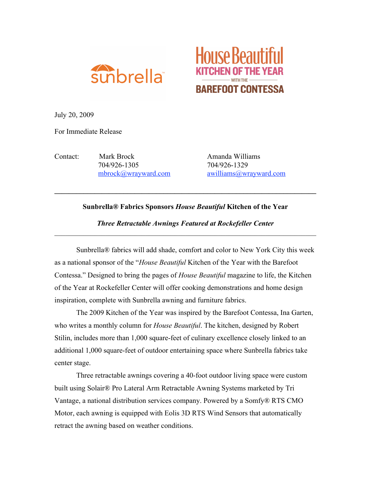



July 20, 2009

For Immediate Release

Contact: Mark Brock Amanda Williams 704/926-1305 704/926-1329

mbrock@wrayward.com awilliams@wrayward.com

## **Sunbrella® Fabrics Sponsors** *House Beautiful* **Kitchen of the Year**

 $\mathcal{L}_\mathcal{L} = \{ \mathcal{L}_\mathcal{L} = \{ \mathcal{L}_\mathcal{L} = \{ \mathcal{L}_\mathcal{L} = \{ \mathcal{L}_\mathcal{L} = \{ \mathcal{L}_\mathcal{L} = \{ \mathcal{L}_\mathcal{L} = \{ \mathcal{L}_\mathcal{L} = \{ \mathcal{L}_\mathcal{L} = \{ \mathcal{L}_\mathcal{L} = \{ \mathcal{L}_\mathcal{L} = \{ \mathcal{L}_\mathcal{L} = \{ \mathcal{L}_\mathcal{L} = \{ \mathcal{L}_\mathcal{L} = \{ \mathcal{L}_\mathcal{$ 

*Three Retractable Awnings Featured at Rockefeller Center*   $\mathcal{L}_\text{max}$  , and the contribution of the contribution of the contribution of the contribution of the contribution of the contribution of the contribution of the contribution of the contribution of the contribution of t

Sunbrella® fabrics will add shade, comfort and color to New York City this week as a national sponsor of the "*House Beautiful* Kitchen of the Year with the Barefoot Contessa." Designed to bring the pages of *House Beautiful* magazine to life, the Kitchen of the Year at Rockefeller Center will offer cooking demonstrations and home design inspiration, complete with Sunbrella awning and furniture fabrics.

The 2009 Kitchen of the Year was inspired by the Barefoot Contessa, Ina Garten, who writes a monthly column for *House Beautiful*. The kitchen, designed by Robert Stilin, includes more than 1,000 square-feet of culinary excellence closely linked to an additional 1,000 square-feet of outdoor entertaining space where Sunbrella fabrics take center stage.

Three retractable awnings covering a 40-foot outdoor living space were custom built using Solair® Pro Lateral Arm Retractable Awning Systems marketed by Tri Vantage, a national distribution services company. Powered by a Somfy® RTS CMO Motor, each awning is equipped with Eolis 3D RTS Wind Sensors that automatically retract the awning based on weather conditions.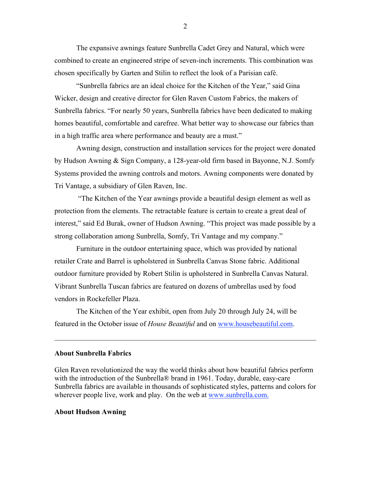The expansive awnings feature Sunbrella Cadet Grey and Natural, which were combined to create an engineered stripe of seven-inch increments. This combination was chosen specifically by Garten and Stilin to reflect the look of a Parisian café.

"Sunbrella fabrics are an ideal choice for the Kitchen of the Year," said Gina Wicker, design and creative director for Glen Raven Custom Fabrics, the makers of Sunbrella fabrics. "For nearly 50 years, Sunbrella fabrics have been dedicated to making homes beautiful, comfortable and carefree. What better way to showcase our fabrics than in a high traffic area where performance and beauty are a must."

Awning design, construction and installation services for the project were donated by Hudson Awning & Sign Company, a 128-year-old firm based in Bayonne, N.J. Somfy Systems provided the awning controls and motors. Awning components were donated by Tri Vantage, a subsidiary of Glen Raven, Inc.

"The Kitchen of the Year awnings provide a beautiful design element as well as protection from the elements. The retractable feature is certain to create a great deal of interest," said Ed Burak, owner of Hudson Awning. "This project was made possible by a strong collaboration among Sunbrella, Somfy, Tri Vantage and my company."

Furniture in the outdoor entertaining space, which was provided by national retailer Crate and Barrel is upholstered in Sunbrella Canvas Stone fabric. Additional outdoor furniture provided by Robert Stilin is upholstered in Sunbrella Canvas Natural. Vibrant Sunbrella Tuscan fabrics are featured on dozens of umbrellas used by food vendors in Rockefeller Plaza.

The Kitchen of the Year exhibit, open from July 20 through July 24, will be featured in the October issue of *House Beautiful* and on www.housebeautiful.com.

## **About Sunbrella Fabrics**

Glen Raven revolutionized the way the world thinks about how beautiful fabrics perform with the introduction of the Sunbrella® brand in 1961. Today, durable, easy-care Sunbrella fabrics are available in thousands of sophisticated styles, patterns and colors for wherever people live, work and play. On the web at www.sunbrella.com.

 $\mathcal{L}_\text{max}$  , and the contribution of the contribution of the contribution of the contribution of the contribution of the contribution of the contribution of the contribution of the contribution of the contribution of t

## **About Hudson Awning**

2